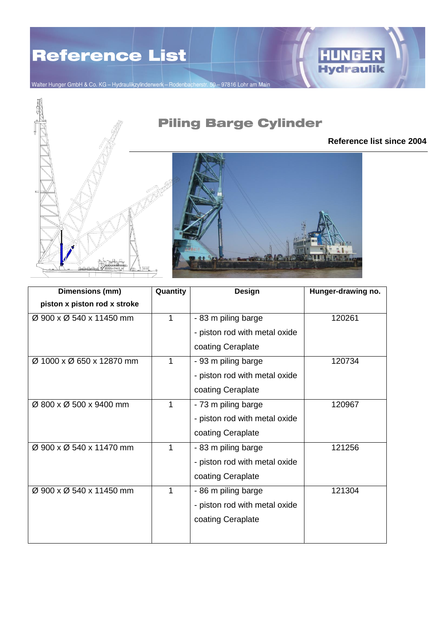

Walter Hunger GmbH & Co. KG - Hydraulikzylinderwerk - Rodenbacherstr. 50 - 97816 Lohr am Main





| Dimensions (mm)              | Quantity    | Design                        | Hunger-drawing no. |
|------------------------------|-------------|-------------------------------|--------------------|
| piston x piston rod x stroke |             |                               |                    |
| Ø 900 x Ø 540 x 11450 mm     | 1           | - 83 m piling barge           | 120261             |
|                              |             | - piston rod with metal oxide |                    |
|                              |             | coating Ceraplate             |                    |
| Ø 1000 x Ø 650 x 12870 mm    | 1           | - 93 m piling barge           | 120734             |
|                              |             | - piston rod with metal oxide |                    |
|                              |             | coating Ceraplate             |                    |
| Ø 800 x Ø 500 x 9400 mm      | $\mathbf 1$ | - 73 m piling barge           | 120967             |
|                              |             | - piston rod with metal oxide |                    |
|                              |             | coating Ceraplate             |                    |
| Ø 900 x Ø 540 x 11470 mm     | 1           | - 83 m piling barge           | 121256             |
|                              |             | - piston rod with metal oxide |                    |
|                              |             | coating Ceraplate             |                    |
| Ø 900 x Ø 540 x 11450 mm     | 1           | - 86 m piling barge           | 121304             |
|                              |             | - piston rod with metal oxide |                    |
|                              |             | coating Ceraplate             |                    |
|                              |             |                               |                    |